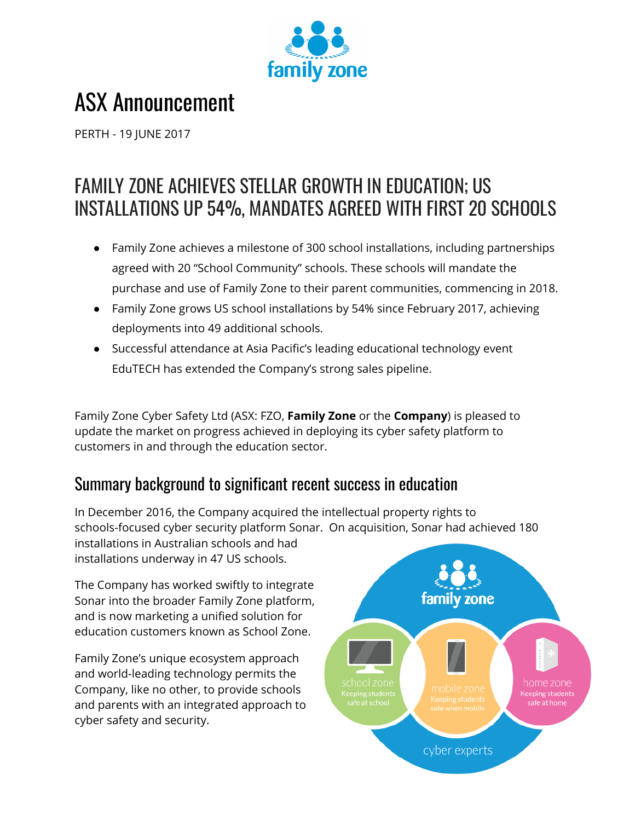

# ASX Announcement

PERTH - 19 JUNE 2017

## FAMILY ZONE ACHIEVES STELLAR GROWTH IN EDUCATION; US INSTALLATIONS UP 54%, MANDATES AGREED WITH FIRST 20 SCHOOLS

- Family Zone achieves a milestone of 300 school installations, including partnerships agreed with 20 "School Community" schools. These schools will mandate the purchase and use of Family Zone to their parent communities, commencing in 2018.
- Family Zone grows US school installations by 54% since February 2017, achieving deployments into 49 additional schools.
- Successful attendance at Asia Pacific's leading educational technology event EduTECH has extended the Company's strong sales pipeline.

Family Zone Cyber Safety Ltd (ASX: FZO, **Family Zone** or the **Company**) is pleased to update the market on progress achieved in deploying its cyber safety platform to customers in and through the education sector.

## Summary background to significant recent success in education

In December 2016, the Company acquired the intellectual property rights to schools-focused cyber security platform Sonar. On acquisition, Sonar had achieved 180 installations in Australian schools and had installations underway in 47 US schools.

The Company has worked swiftly to integrate Sonar into the broader Family Zone platform, and is now marketing a unified solution for education customers known as School Zone.

Family Zone's unique ecosystem approach and world-leading technology permits the Company, like no other, to provide schools and parents with an integrated approach to cyber safety and security.

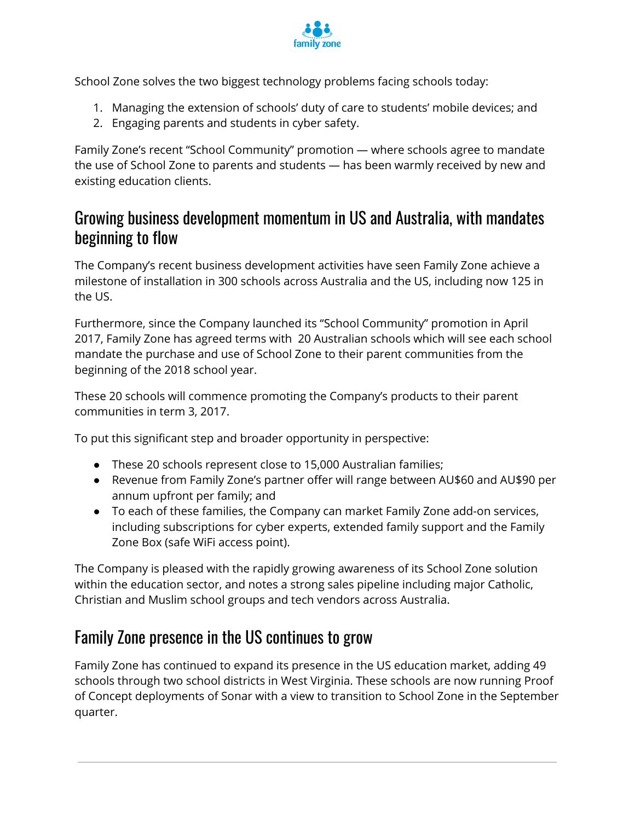

School Zone solves the two biggest technology problems facing schools today:

- 1. Managing the extension of schools' duty of care to students' mobile devices; and
- 2. Engaging parents and students in cyber safety.

Family Zone's recent "School Community" promotion — where schools agree to mandate the use of School Zone to parents and students — has been warmly received by new and existing education clients.

#### Growing business development momentum in US and Australia, with mandates beginning to flow

The Company's recent business development activities have seen Family Zone achieve a milestone of installation in 300 schools across Australia and the US, including now 125 in the US.

Furthermore, since the Company launched its "School Community" promotion in April 2017, Family Zone has agreed terms with 20 Australian schools which will see each school mandate the purchase and use of School Zone to their parent communities from the beginning of the 2018 school year.

These 20 schools will commence promoting the Company's products to their parent communities in term 3, 2017.

To put this significant step and broader opportunity in perspective:

- These 20 schools represent close to 15,000 Australian families;
- Revenue from Family Zone's partner offer will range between AU\$60 and AU\$90 per annum upfront per family; and
- To each of these families, the Company can market Family Zone add-on services, including subscriptions for cyber experts, extended family support and the Family Zone Box (safe WiFi access point).

The Company is pleased with the rapidly growing awareness of its School Zone solution within the education sector, and notes a strong sales pipeline including major Catholic, Christian and Muslim school groups and tech vendors across Australia.

### Family Zone presence in the US continues to grow

Family Zone has continued to expand its presence in the US education market, adding 49 schools through two school districts in West Virginia. These schools are now running Proof of Concept deployments of Sonar with a view to transition to School Zone in the September quarter.